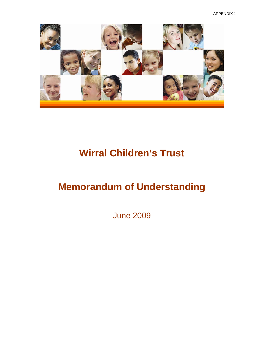APPENDIX 1



# **Wirral Children's Trust**

## **Memorandum of Understanding**

June 2009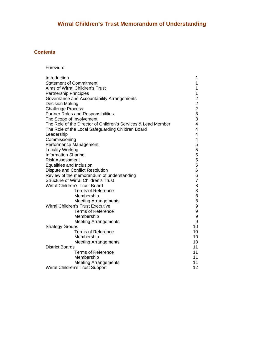## **Wirral Children's Trust Memorandum of Understanding**

## **Contents**

| Foreword |  |
|----------|--|
|----------|--|

| Introduction                                                  | 1                       |
|---------------------------------------------------------------|-------------------------|
| <b>Statement of Commitment</b>                                | $\mathbf{1}$            |
| Aims of Wirral Children's Trust                               | $\mathbf{1}$            |
| <b>Partnership Principles</b>                                 | $\mathbf 1$             |
| Governance and Accountability Arrangements                    |                         |
| <b>Decision Making</b>                                        | $\frac{2}{2}$           |
| <b>Challenge Process</b>                                      | $\overline{c}$          |
| Partner Roles and Responsibilities                            | 3                       |
| The Scope of Involvement                                      | 3                       |
| The Role of the Director of Children's Services & Lead Member | 4                       |
| The Role of the Local Safeguarding Children Board             | 4                       |
| Leadership                                                    | $\overline{\mathbf{4}}$ |
| Commissioning                                                 | $\overline{\mathbf{4}}$ |
| Performance Management                                        | 5                       |
| <b>Locality Working</b>                                       | 5                       |
| <b>Information Sharing</b>                                    | 5                       |
| <b>Risk Assessment</b>                                        | 5                       |
| Equalities and Inclusion                                      | 5                       |
| <b>Dispute and Conflict Resolution</b>                        | 6                       |
| Review of the memorandum of understanding                     | 6                       |
| <b>Structure of Wirral Children's Trust</b>                   | $\overline{7}$          |
| <b>Wirral Children's Trust Board</b>                          | $\bf 8$                 |
| <b>Terms of Reference</b>                                     | $\bf 8$                 |
| Membership                                                    | $\bf 8$                 |
| <b>Meeting Arrangements</b>                                   | 8                       |
| <b>Wirral Children's Trust Executive</b>                      | $\boldsymbol{9}$        |
| <b>Terms of Reference</b>                                     | $\boldsymbol{9}$        |
| Membership                                                    | $\boldsymbol{9}$        |
| <b>Meeting Arrangements</b>                                   | $\boldsymbol{9}$        |
| <b>Strategy Groups</b>                                        | 10                      |
| <b>Terms of Reference</b>                                     | 10                      |
| Membership                                                    | 10                      |
| <b>Meeting Arrangements</b>                                   | 10                      |
| <b>District Boards</b>                                        | 11                      |
| <b>Terms of Reference</b>                                     | 11                      |
| Membership                                                    | 11                      |
| <b>Meeting Arrangements</b>                                   | 11                      |
| Wirral Children's Trust Support                               | 12                      |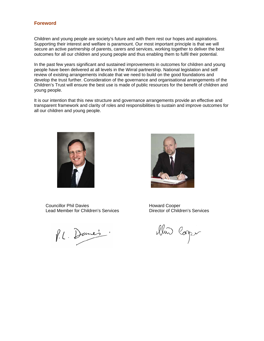#### **Foreword**

Children and young people are society's future and with them rest our hopes and aspirations. Supporting their interest and welfare is paramount. Our most important principle is that we will secure an active partnership of parents, carers and services, working together to deliver the best outcomes for all our children and young people and thus enabling them to fulfil their potential.

In the past few years significant and sustained improvements in outcomes for children and young people have been delivered at all levels in the Wirral partnership. National legislation and self review of existing arrangements indicate that we need to build on the good foundations and develop the trust further. Consideration of the governance and organisational arrangements of the Children's Trust will ensure the best use is made of public resources for the benefit of children and young people.

It is our intention that this new structure and governance arrangements provide an effective and transparent framework and clarity of roles and responsibilities to sustain and improve outcomes for all our children and young people.



Councillor Phil Davies **Howard Cooper** Howard Cooper Lead Member for Children's Services Director of Children's Services

P.L. Dane's

illin Coper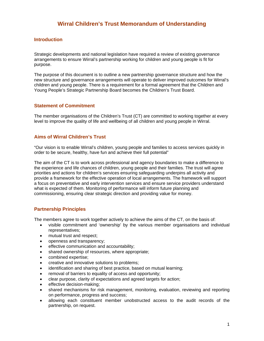## **Introduction**

Strategic developments and national legislation have required a review of existing governance arrangements to ensure Wirral's partnership working for children and young people is fit for purpose.

The purpose of this document is to outline a new partnership governance structure and how the new structure and governance arrangements will operate to deliver improved outcomes for Wirral's children and young people. There is a requirement for a formal agreement that the Children and Young People's Strategic Partnership Board becomes the Children's Trust Board.

## **Statement of Commitment**

The member organisations of the Children's Trust (CT) are committed to working together at every level to improve the quality of life and wellbeing of all children and young people in Wirral.

## **Aims of Wirral Children's Trust**

"Our vision is to enable Wirral's children, young people and families to access services quickly in order to be secure, healthy, have fun and achieve their full potential"

The aim of the CT is to work across professional and agency boundaries to make a difference to the experience and life chances of children, young people and their families. The trust will agree priorities and actions for children's services ensuring safeguarding underpins all activity and provide a framework for the effective operation of local arrangements. The framework will support a focus on preventative and early intervention services and ensure service providers understand what is expected of them. Monitoring of performance will inform future planning and commissioning, ensuring clear strategic direction and providing value for money.

## **Partnership Principles**

The members agree to work together actively to achieve the aims of the CT, on the basis of:

- visible commitment and 'ownership' by the various member organisations and individual representatives;
- mutual trust and respect;
- openness and transparency;
- effective communication and accountability;
- shared ownership of resources, where appropriate;
- combined expertise;
- creative and innovative solutions to problems;
- identification and sharing of best practice, based on mutual learning;
- removal of barriers to equality of access and opportunity;
- clear purpose, clarity of expectations and agreed targets for action;
- effective decision-making;
- shared mechanisms for risk management, monitoring, evaluation, reviewing and reporting on performance, progress and success;
- allowing each constituent member unobstructed access to the audit records of the partnership, on request.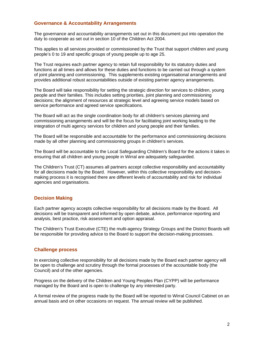## **Governance & Accountability Arrangements**

The governance and accountability arrangements set out in this document put into operation the duty to cooperate as set out in section 10 of the Children Act 2004.

This applies to all services provided or commissioned by the Trust that support children and young people's 0 to 19 and specific groups of young people up to age 25.

The Trust requires each partner agency to retain full responsibility for its statutory duties and functions at all times and allows for these duties and functions to be carried out through a system of joint planning and commissioning. This supplements existing organisational arrangements and provides additional robust accountabilities outside of existing partner agency arrangements.

The Board will take responsibility for setting the strategic direction for services to children, young people and their families. This includes setting priorities, joint planning and commissioning decisions; the alignment of resources at strategic level and agreeing service models based on service performance and agreed service specifications.

The Board will act as the single coordination body for all children's services planning and commissioning arrangements and will be the focus for facilitating joint working leading to the integration of multi agency services for children and young people and their families.

The Board will be responsible and accountable for the performance and commissioning decisions made by all other planning and commissioning groups in children's services.

The Board will be accountable to the Local Safeguarding Children's Board for the actions it takes in ensuring that all children and young people in Wirral are adequately safeguarded.

The Children's Trust (CT) assumes all partners accept collective responsibility and accountability for all decisions made by the Board. However, within this collective responsibility and decisionmaking process it is recognised there are different levels of accountability and risk for individual agencies and organisations.

## **Decision Making**

Each partner agency accepts collective responsibility for all decisions made by the Board. All decisions will be transparent and informed by open debate, advice, performance reporting and analysis, best practice, risk assessment and option appraisal.

The Children's Trust Executive (CTE) the multi-agency Strategy Groups and the District Boards will be responsible for providing advice to the Board to support the decision-making processes.

## **Challenge process**

In exercising collective responsibility for all decisions made by the Board each partner agency will be open to challenge and scrutiny through the formal processes of the accountable body (the Council) and of the other agencies.

Progress on the delivery of the Children and Young Peoples Plan (CYPP) will be performance managed by the Board and is open to challenge by any interested party.

A formal review of the progress made by the Board will be reported to Wirral Council Cabinet on an annual basis and on other occasions on request. The annual review will be published.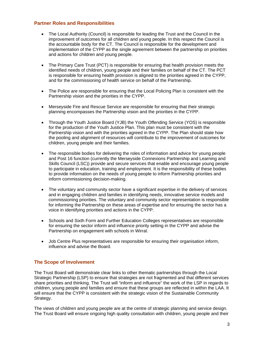## **Partner Roles and Responsibilities**

- The Local Authority (Council) is responsible for leading the Trust and the Council in the improvement of outcomes for all children and young people. In this respect the Council is the accountable body for the CT. The Council is responsible for the development and implementation of the CYPP as the single agreement between the partnership on priorities and actions for children and young people.
- The Primary Care Trust (PCT) is responsible for ensuring that health provision meets the identified needs of children, young people and their families on behalf of the CT. The PCT is responsible for ensuring health provision is aligned to the priorities agreed in the CYPP, and for the commissioning of health service on behalf of the Partnership.
- The Police are responsible for ensuring that the Local Policing Plan is consistent with the Partnership vision and the priorities in the CYPP.
- Merseyside Fire and Rescue Service are responsible for ensuring that their strategic planning encompasses the Partnership vision and the priorities in the CYPP.
- Through the Youth Justice Board (YJB) the Youth Offending Service (YOS) is responsible for the production of the Youth Justice Plan. This plan must be consistent with the Partnership vision and with the priorities agreed in the CYPP. The Plan should state how the pooling and alignment of resources will contribute to the improvement of outcomes for children, young people and their families.
- The responsible bodies for delivering the roles of information and advice for young people and Post 16 function (currently the Merseyside Connexions Partnership and Learning and Skills Council (LSC)) provide and secure services that enable and encourage young people to participate in education, training and employment. It is the responsibility of these bodies to provide information on the needs of young people to inform Partnership priorities and inform commissioning decision-making.
- The voluntary and community sector have a significant expertise in the delivery of services and in engaging children and families in identifying needs, innovative service models and commissioning priorities. The voluntary and community sector representation is responsible for informing the Partnership on these areas of expertise and for ensuring the sector has a voice in identifying priorities and actions in the CYPP.
- Schools and Sixth Form and Further Education Colleges representatives are responsible for ensuring the sector inform and influence priority setting in the CYPP and advise the Partnership on engagement with schools in Wirral.
- Job Centre Plus representatives are responsible for ensuring their organisation inform, influence and advise the Board.

## **The Scope of Involvement**

The Trust Board will demonstrate clear links to other thematic partnerships through the Local Strategic Partnership (LSP) to ensure that strategies are not fragmented and that different services share priorities and thinking. The Trust will "inform and influence" the work of the LSP in regards to children, young people and families and ensure that these groups are reflected in within the LAA. It will ensure that the CYPP is consistent with the strategic vision of the Sustainable Community Strategy.

The views of children and young people are at the centre of strategic planning and service design. The Trust Board will ensure ongoing high quality consultation with children, young people and their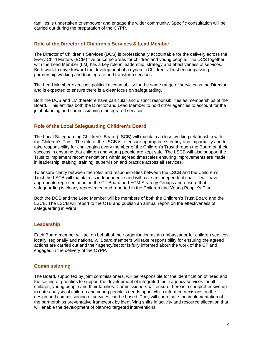families is undertaken to empower and engage the wider community. Specific consultation will be carried out during the preparation of the CYPP.

## **Role of the Director of Children's Services & Lead Member**

The Director of Children's Services (DCS) is professionally accountable for the delivery across the Every Child Matters (ECM) five outcome areas for children and young people. The DCS together with the Lead Member (LM) has a key role in leadership, strategy and effectiveness of services. Both work to drive forward the development of a dynamic Children's Trust encompassing partnership working and to integrate and transform services.

The Lead Member exercises political accountability for the same range of services as the Director and is expected to ensure there is a clear focus on safeguarding.

Both the DCS and LM therefore have particular and distinct responsibilities as memberships of the Board. This entitles both the Director and Lead Member to hold other agencies to account for the joint planning and commissioning of integrated services.

## **Role of the Local Safeguarding Children's Board**

The Local Safeguarding Children's Board (LSCB) will maintain a close working relationship with the Children's Trust. The role of the LSCB is to ensure appropriate scrutiny and impartiality and to take responsibility for challenging every member of the Children's Trust through the Board on their success in ensuring that children and young people are kept safe. The LSCB will also support the Trust to implement recommendations within agreed timescales ensuring improvements are made in leadership, staffing, training, supervision and practice across all services.

To ensure clarity between the roles and responsibilities between the LSCB and the Children's Trust the LSCB will maintain its independence and will have an independent chair. It will have appropriate representation on the CT Board and ECM Strategy Groups and ensure that safeguarding is clearly represented and reported in the Children and Young People's Plan.

Both the DCS and the Lead Member will be members of both the Children's Trust Board and the LSCB. The LSCB will report to the CTB and publish an annual report on the effectiveness of safeguarding in Wirral.

## **Leadership**

Each Board member will act on behalf of their organisation as an ambassador for children services locally, regionally and nationally. Board members will take responsibility for ensuring the agreed actions are carried out and their agency/sector is fully informed about the work of the CT and engaged in the delivery of the CYPP.

## **Commissioning**

The Board, supported by joint commissioners, will be responsible for the identification of need and the setting of priorities to support the development of integrated multi agency services for all children, young people and their families. Commissioners will ensure there is a comprehensive up to date analysis of children and young people's needs upon which informed decisions on the design and commissioning of services can be based. They will coordinate the implementation of the partnerships preventative framework by identifying shifts in activity and resource allocation that will enable the development of planned targeted interventions.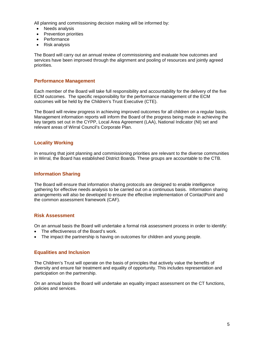All planning and commissioning decision making will be informed by:

- Needs analysis
- Prevention priorities
- Performance
- Risk analysis

The Board will carry out an annual review of commissioning and evaluate how outcomes and services have been improved through the alignment and pooling of resources and jointly agreed priorities.

## **Performance Management**

Each member of the Board will take full responsibility and accountability for the delivery of the five ECM outcomes. The specific responsibility for the performance management of the ECM outcomes will be held by the Children's Trust Executive (CTE).

The Board will review progress in achieving improved outcomes for all children on a regular basis. Management information reports will inform the Board of the progress being made in achieving the key targets set out in the CYPP, Local Area Agreement (LAA), National Indicator (NI) set and relevant areas of Wirral Council's Corporate Plan.

## **Locality Working**

In ensuring that joint planning and commissioning priorities are relevant to the diverse communities in Wirral, the Board has established District Boards. These groups are accountable to the CTB.

## **Information Sharing**

The Board will ensure that information sharing protocols are designed to enable intelligence gathering for effective needs analysis to be carried out on a continuous basis. Information sharing arrangements will also be developed to ensure the effective implementation of ContactPoint and the common assessment framework (CAF).

## **Risk Assessment**

On an annual basis the Board will undertake a formal risk assessment process in order to identify:

- The effectiveness of the Board's work.
- The impact the partnership is having on outcomes for children and young people.

## **Equalities and Inclusion**

The Children's Trust will operate on the basis of principles that actively value the benefits of diversity and ensure fair treatment and equality of opportunity. This includes representation and participation on the partnership.

On an annual basis the Board will undertake an equality impact assessment on the CT functions, policies and services.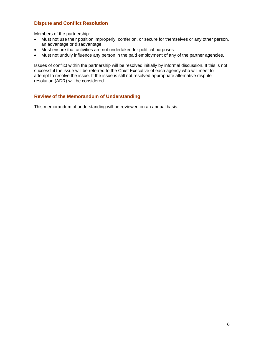## **Dispute and Conflict Resolution**

Members of the partnership:

- Must not use their position improperly, confer on, or secure for themselves or any other person, an advantage or disadvantage.
- Must ensure that activities are not undertaken for political purposes
- Must not unduly influence any person in the paid employment of any of the partner agencies.

Issues of conflict within the partnership will be resolved initially by informal discussion. If this is not successful the issue will be referred to the Chief Executive of each agency who will meet to attempt to resolve the issue. If the issue is still not resolved appropriate alternative dispute resolution (ADR) will be considered.

## **Review of the Memorandum of Understanding**

This memorandum of understanding will be reviewed on an annual basis.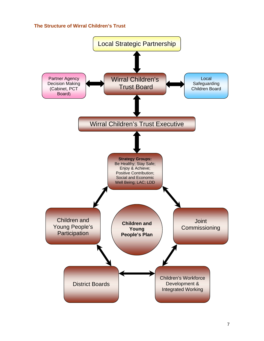## **The Structure of Wirral Children's Trust**

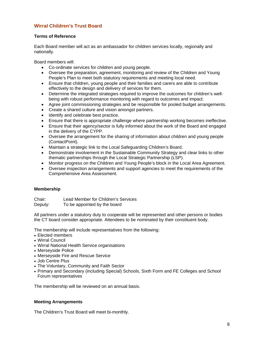## **Wirral Children's Trust Board**

## **Terms of Reference**

Each Board member will act as an ambassador for children services locally, regionally and nationally.

Board members will:

- Co-ordinate services for children and young people.
- Oversee the preparation, agreement, monitoring and review of the Children and Young People's Plan to meet both statutory requirements and meeting local need.
- Ensure that children, young people and their families and carers are able to contribute effectively to the design and delivery of services for them.
- Determine the integrated strategies required to improve the outcomes for children's wellbeing with robust performance monitoring with regard to outcomes and impact.
- Agree joint commissioning strategies and be responsible for pooled budget arrangements.
- Create a shared culture and vision amongst partners.
- Identify and celebrate best practice.
- Ensure that there is appropriate challenge where partnership working becomes ineffective.
- Ensure that their agency/sector is fully informed about the work of the Board and engaged in the delivery of the CYPP.
- Oversee the arrangement for the sharing of information about children and young people (ContactPoint).
- Maintain a strategic link to the Local Safeguarding Children's Board.
- Demonstrate involvement in the Sustainable Community Strategy and clear links to other thematic partnerships through the Local Strategic Partnership (LSP).
- Monitor progress on the Children and Young People's block in the Local Area Agreement.
- Oversee inspection arrangements and support agencies to meet the requirements of the Comprehensive Area Assessment.

## **Membership**

Chair: Lead Member for Children's Services

Deputy: To be appointed by the board

All partners under a statutory duty to cooperate will be represented and other persons or bodies the CT board consider appropriate. Attendees to be nominated by their constituent body.

The membership will include representatives from the following:

- Elected members
- Wirral Council
- Wirral National Health Service organisations
- Merseyside Police
- Merseyside Fire and Rescue Service
- Job Centre Plus
- The Voluntary, Community and Faith Sector
- Primary and Secondary (including Special) Schools, Sixth Form and FE Colleges and School Forum representatives

The membership will be reviewed on an annual basis.

## **Meeting Arrangements**

The Children's Trust Board will meet bi-monthly.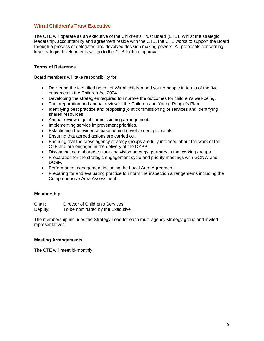## **Wirral Children's Trust Executive**

The CTE will operate as an executive of the Children's Trust Board (CTB). Whilst the strategic leadership, accountability and agreement reside with the CTB, the CTE works to support the Board through a process of delegated and devolved decision making powers. All proposals concerning key strategic developments will go to the CTB for final approval.

## **Terms of Reference**

Board members will take responsibility for:

- Delivering the identified needs of Wirral children and young people in terms of the five outcomes in the Children Act 2004.
- Developing the strategies required to improve the outcomes for children's well-being.
- The preparation and annual review of the Children and Young People's Plan
- Identifying best practice and proposing joint commissioning of services and identifying shared resources.
- Annual review of joint commissioning arrangements
- Implementing service improvement priorities.
- Establishing the evidence base behind development proposals.
- Ensuring that agreed actions are carried out.
- Ensuring that the cross agency strategy groups are fully informed about the work of the CTB and are engaged in the delivery of the CYPP.
- Disseminating a shared culture and vision amongst partners in the working groups.
- Preparation for the strategic engagement cycle and priority meetings with GONW and DCSF.
- Performance management including the Local Area Agreement.
- Preparing for and evaluating practice to inform the inspection arrangements including the Comprehensive Area Assessment.

#### **Membership**

Chair: Director of Children's Services Deputy: To be nominated by the Executive

The membership includes the Strategy Lead for each multi-agency strategy group and invited representatives.

## **Meeting Arrangements**

The CTE will meet bi-monthly.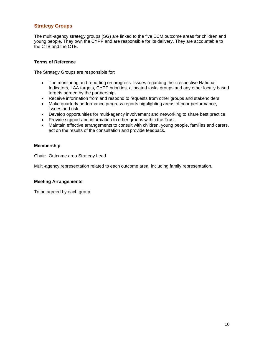## **Strategy Groups**

The multi-agency strategy groups (SG) are linked to the five ECM outcome areas for children and young people. They own the CYPP and are responsible for its delivery. They are accountable to the CTB and the CTE.

#### **Terms of Reference**

The Strategy Groups are responsible for:

- The monitoring and reporting on progress. Issues regarding their respective National Indicators, LAA targets, CYPP priorities, allocated tasks groups and any other locally based targets agreed by the partnership.
- Receive information from and respond to requests from other groups and stakeholders.
- Make quarterly performance progress reports highlighting areas of poor performance, issues and risk.
- Develop opportunities for multi-agency involvement and networking to share best practice
- Provide support and information to other groups within the Trust.
- Maintain effective arrangements to consult with children, young people, families and carers, act on the results of the consultation and provide feedback.

#### **Membership**

Chair: Outcome area Strategy Lead

Multi-agency representation related to each outcome area, including family representation.

#### **Meeting Arrangements**

To be agreed by each group.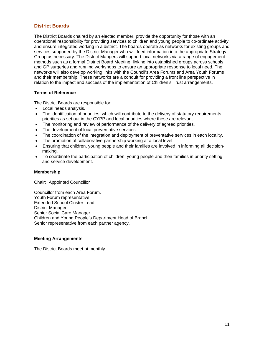## **District Boards**

The District Boards chaired by an elected member, provide the opportunity for those with an operational responsibility for providing services to children and young people to co-ordinate activity and ensure integrated working in a district. The boards operate as networks for existing groups and services supported by the District Manager who will feed information into the appropriate Strategy Group as necessary. The District Mangers will support local networks via a range of engagement methods such as a formal District Board Meeting, linking into established groups across schools and GP surgeries and running workshops to ensure an appropriate response to local need. The networks will also develop working links with the Council's Area Forums and Area Youth Forums and their membership. These networks are a conduit for providing a front line perspective in relation to the impact and success of the implementation of Children's Trust arrangements.

## **Terms of Reference**

The District Boards are responsible for:

- Local needs analysis.
- The identification of priorities, which will contribute to the delivery of statutory requirements priorities as set out in the CYPP and local priorities where these are relevant.
- The monitoring and review of performance of the delivery of agreed priorities.
- The development of local preventative services.
- The coordination of the integration and deployment of preventative services in each locality.
- The promotion of collaborative partnership working at a local level.
- Ensuring that children, young people and their families are involved in informing all decisionmaking.
- To coordinate the participation of children, young people and their families in priority setting and service development.

#### **Membership**

Chair: Appointed Councillor

Councillor from each Area Forum. Youth Forum representative. Extended School Cluster Lead. District Manager. Senior Social Care Manager. Children and Young People's Department Head of Branch. Senior representative from each partner agency.

#### **Meeting Arrangements**

The District Boards meet bi-monthly.